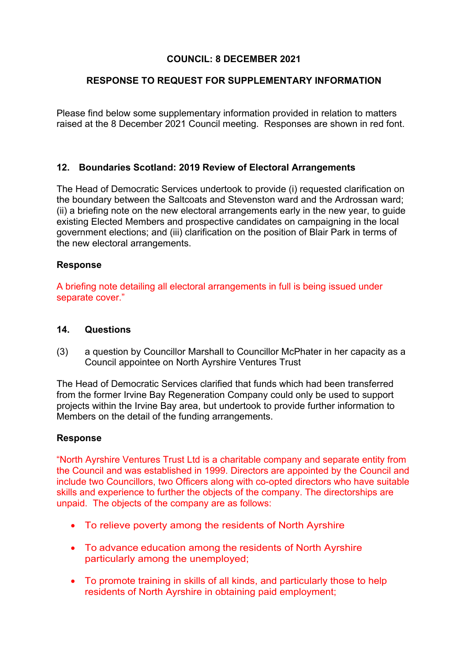# **COUNCIL: 8 DECEMBER 2021**

## **RESPONSE TO REQUEST FOR SUPPLEMENTARY INFORMATION**

Please find below some supplementary information provided in relation to matters raised at the 8 December 2021 Council meeting. Responses are shown in red font.

### **12. Boundaries Scotland: 2019 Review of Electoral Arrangements**

The Head of Democratic Services undertook to provide (i) requested clarification on the boundary between the Saltcoats and Stevenston ward and the Ardrossan ward; (ii) a briefing note on the new electoral arrangements early in the new year, to guide existing Elected Members and prospective candidates on campaigning in the local government elections; and (iii) clarification on the position of Blair Park in terms of the new electoral arrangements.

### **Response**

A briefing note detailing all electoral arrangements in full is being issued under separate cover."

#### **14. Questions**

(3) a question by Councillor Marshall to Councillor McPhater in her capacity as a Council appointee on North Ayrshire Ventures Trust

The Head of Democratic Services clarified that funds which had been transferred from the former Irvine Bay Regeneration Company could only be used to support projects within the Irvine Bay area, but undertook to provide further information to Members on the detail of the funding arrangements.

#### **Response**

"North Ayrshire Ventures Trust Ltd is a charitable company and separate entity from the Council and was established in 1999. Directors are appointed by the Council and include two Councillors, two Officers along with co-opted directors who have suitable skills and experience to further the objects of the company. The directorships are unpaid. The objects of the company are as follows:

- To relieve poverty among the residents of North Ayrshire
- To advance education among the residents of North Ayrshire particularly among the unemployed;
- To promote training in skills of all kinds, and particularly those to help residents of North Ayrshire in obtaining paid employment;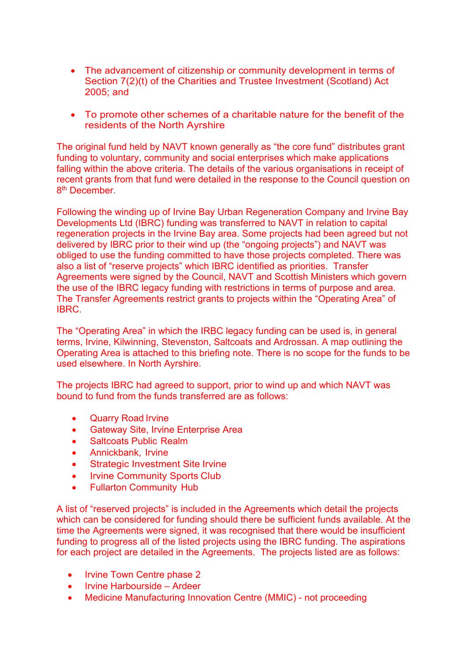- The advancement of citizenship or community development in terms of Section 7(2)(t) of the Charities and Trustee Investment (Scotland) Act 2005; and
- To promote other schemes of a charitable nature for the benefit of the residents of the North Ayrshire

The original fund held by NAVT known generally as "the core fund" distributes grant funding to voluntary, community and social enterprises which make applications falling within the above criteria. The details of the various organisations in receipt of recent grants from that fund were detailed in the response to the Council question on 8<sup>th</sup> December

Following the winding up of Irvine Bay Urban Regeneration Company and Irvine Bay Developments Ltd (IBRC) funding was transferred to NAVT in relation to capital regeneration projects in the Irvine Bay area. Some projects had been agreed but not delivered by IBRC prior to their wind up (the "ongoing projects") and NAVT was obliged to use the funding committed to have those projects completed. There was also a list of "reserve projects" which IBRC identified as priorities. Transfer Agreements were signed by the Council, NAVT and Scottish Ministers which govern the use of the IBRC legacy funding with restrictions in terms of purpose and area. The Transfer Agreements restrict grants to projects within the "Operating Area" of IBRC.

The "Operating Area" in which the IRBC legacy funding can be used is, in general terms, Irvine, Kilwinning, Stevenston, Saltcoats and Ardrossan. A map outlining the Operating Area is attached to this briefing note. There is no scope for the funds to be used elsewhere. In North Ayrshire.

The projects IBRC had agreed to support, prior to wind up and which NAVT was bound to fund from the funds transferred are as follows:

- Quarry Road Irvine
- Gateway Site, Irvine Enterprise Area
- Saltcoats Public Realm
- Annickbank, Irvine
- Strategic Investment Site Irvine
- Irvine Community Sports Club
- Fullarton Community Hub

A list of "reserved projects" is included in the Agreements which detail the projects which can be considered for funding should there be sufficient funds available. At the time the Agreements were signed, it was recognised that there would be insufficient funding to progress all of the listed projects using the IBRC funding. The aspirations for each project are detailed in the Agreements. The projects listed are as follows:

- Irvine Town Centre phase 2
- Irvine Harbourside Ardeer
- Medicine Manufacturing Innovation Centre (MMIC) not proceeding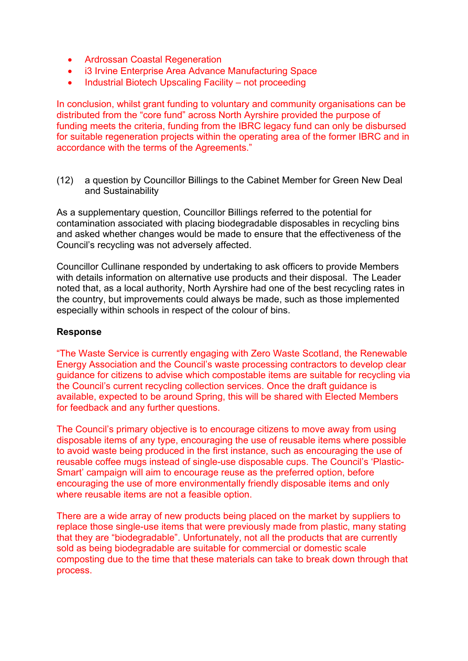- Ardrossan Coastal Regeneration
- i3 Irvine Enterprise Area Advance Manufacturing Space
- Industrial Biotech Upscaling Facility not proceeding

In conclusion, whilst grant funding to voluntary and community organisations can be distributed from the "core fund" across North Ayrshire provided the purpose of funding meets the criteria, funding from the IBRC legacy fund can only be disbursed for suitable regeneration projects within the operating area of the former IBRC and in accordance with the terms of the Agreements."

(12) a question by Councillor Billings to the Cabinet Member for Green New Deal and Sustainability

As a supplementary question, Councillor Billings referred to the potential for contamination associated with placing biodegradable disposables in recycling bins and asked whether changes would be made to ensure that the effectiveness of the Council's recycling was not adversely affected.

Councillor Cullinane responded by undertaking to ask officers to provide Members with details information on alternative use products and their disposal. The Leader noted that, as a local authority, North Ayrshire had one of the best recycling rates in the country, but improvements could always be made, such as those implemented especially within schools in respect of the colour of bins.

### **Response**

"The Waste Service is currently engaging with Zero Waste Scotland, the Renewable Energy Association and the Council's waste processing contractors to develop clear guidance for citizens to advise which compostable items are suitable for recycling via the Council's current recycling collection services. Once the draft guidance is available, expected to be around Spring, this will be shared with Elected Members for feedback and any further questions.

The Council's primary objective is to encourage citizens to move away from using disposable items of any type, encouraging the use of reusable items where possible to avoid waste being produced in the first instance, such as encouraging the use of reusable coffee mugs instead of single-use disposable cups. The Council's 'Plastic-Smart' campaign will aim to encourage reuse as the preferred option, before encouraging the use of more environmentally friendly disposable items and only where reusable items are not a feasible option.

There are a wide array of new products being placed on the market by suppliers to replace those single-use items that were previously made from plastic, many stating that they are "biodegradable". Unfortunately, not all the products that are currently sold as being biodegradable are suitable for commercial or domestic scale composting due to the time that these materials can take to break down through that process.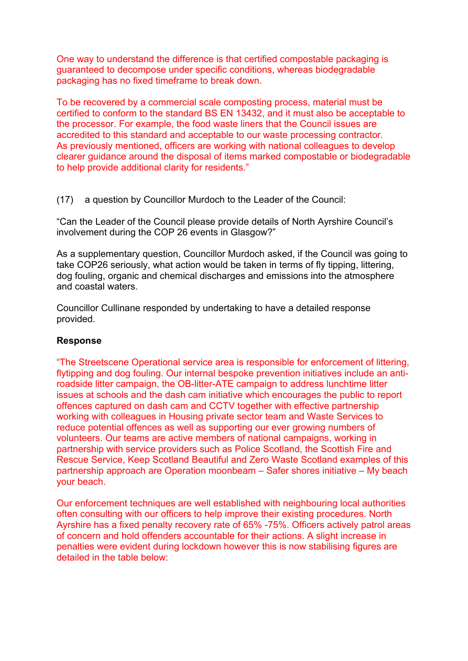One way to understand the difference is that certified compostable packaging is guaranteed to decompose under specific conditions, whereas biodegradable packaging has no fixed timeframe to break down.

To be recovered by a commercial scale composting process, material must be certified to conform to the standard BS EN 13432, and it must also be acceptable to the processor. For example, the food waste liners that the Council issues are accredited to this standard and acceptable to our waste processing contractor. As previously mentioned, officers are working with national colleagues to develop clearer guidance around the disposal of items marked compostable or biodegradable to help provide additional clarity for residents."

(17) a question by Councillor Murdoch to the Leader of the Council:

"Can the Leader of the Council please provide details of North Ayrshire Council's involvement during the COP 26 events in Glasgow?"

As a supplementary question, Councillor Murdoch asked, if the Council was going to take COP26 seriously, what action would be taken in terms of fly tipping, littering, dog fouling, organic and chemical discharges and emissions into the atmosphere and coastal waters.

Councillor Cullinane responded by undertaking to have a detailed response provided.

### **Response**

"The Streetscene Operational service area is responsible for enforcement of littering, flytipping and dog fouling. Our internal bespoke prevention initiatives include an antiroadside litter campaign, the OB-litter-ATE campaign to address lunchtime litter issues at schools and the dash cam initiative which encourages the public to report offences captured on dash cam and CCTV together with effective partnership working with colleagues in Housing private sector team and Waste Services to reduce potential offences as well as supporting our ever growing numbers of volunteers. Our teams are active members of national campaigns, working in partnership with service providers such as Police Scotland, the Scottish Fire and Rescue Service, Keep Scotland Beautiful and Zero Waste Scotland examples of this partnership approach are Operation moonbeam – Safer shores initiative – My beach your beach.

Our enforcement techniques are well established with neighbouring local authorities often consulting with our officers to help improve their existing procedures. North Ayrshire has a fixed penalty recovery rate of 65% -75%. Officers actively patrol areas of concern and hold offenders accountable for their actions. A slight increase in penalties were evident during lockdown however this is now stabilising figures are detailed in the table below: